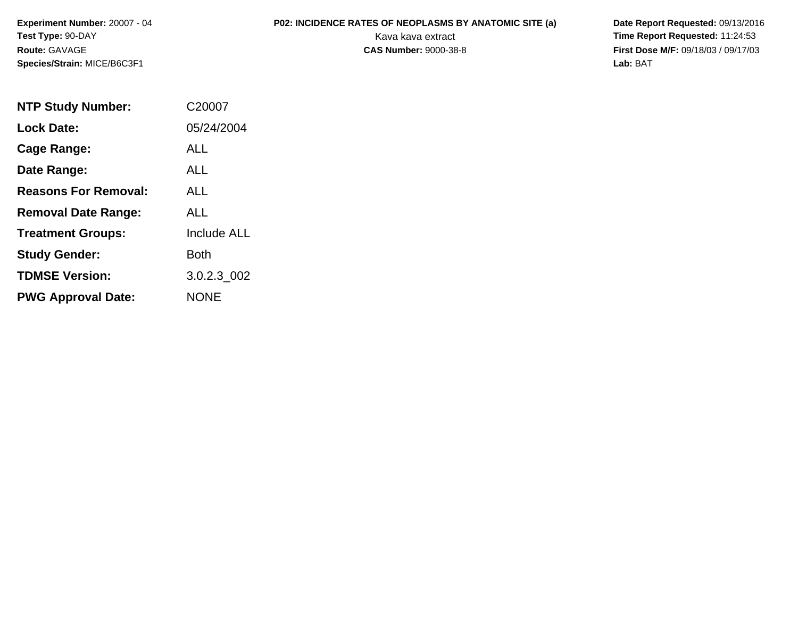**Experiment Number:** 20007 - 04**Test Type:** 90-DAY**Route:** GAVAGE**Species/Strain:** MICE/B6C3F1

**P02: INCIDENCE RATES OF NEOPLASMS BY ANATOMIC SITE (a)** Date Report Requested: 09/13/2016<br>Kava kava extract **Time Report Requested:** 11:24:53 Kava kava extract **Time Report Requested:** 11:24:53<br>**CAS Number:** 9000-38-8 **Time Report Requested:** 11:24:53 **First Dose M/F:** 09/18/03 / 09/17/03<br>Lab: BAT **Lab:** BAT

| <b>NTP Study Number:</b>    | C <sub>20007</sub> |
|-----------------------------|--------------------|
| <b>Lock Date:</b>           | 05/24/2004         |
| Cage Range:                 | ALL                |
| Date Range:                 | <b>ALL</b>         |
| <b>Reasons For Removal:</b> | AI I               |
| <b>Removal Date Range:</b>  | ALL                |
| <b>Treatment Groups:</b>    | <b>Include ALL</b> |
| <b>Study Gender:</b>        | Both               |
| <b>TDMSE Version:</b>       | 3.0.2.3_002        |
| <b>PWG Approval Date:</b>   | <b>NONE</b>        |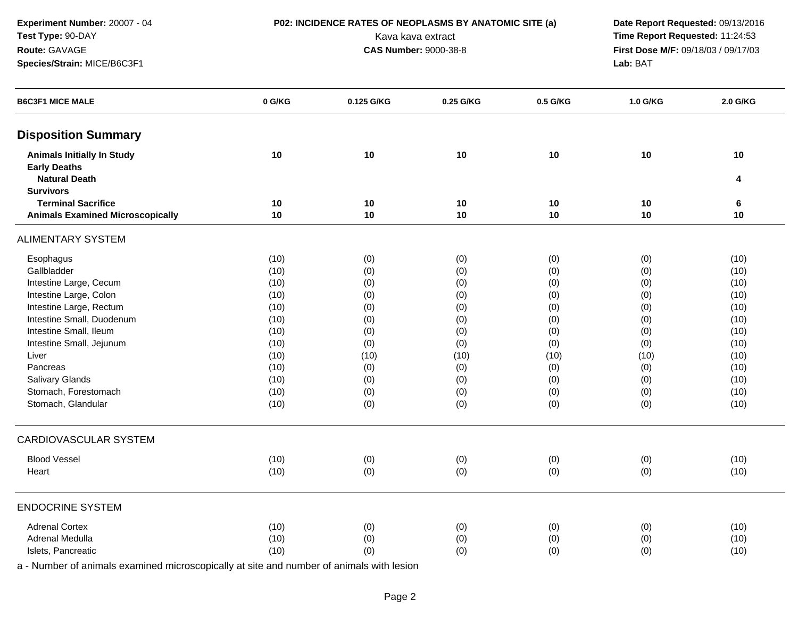**Experiment Number:** 20007 - 04**Test Type:** 90-DAY**Route:** GAVAGE

## **Species/Strain:** MICE/B6C3F1

**P02: INCIDENCE RATES OF NEOPLASMS BY ANATOMIC SITE (a)** Date Report Requested: 09/13/2016<br>Kava kava extract **Time Report Requested:** 11:24:53 Kava kava extract **Time Report Requested:** 11:24:53<br>**CAS Number:** 9000-38-8 **Time Report Requested:** 11:24:53 **First Dose M/F:** 09/18/03 / 09/17/03<br>Lab: BAT **Lab:** BAT

| <b>Disposition Summary</b><br><b>Animals Initially In Study</b><br>10<br>10<br>10<br>10<br>10<br>10<br><b>Early Deaths</b><br><b>Natural Death</b><br>4<br><b>Survivors</b><br><b>Terminal Sacrifice</b><br>10<br>10<br>10<br>10<br>6<br>10<br><b>Animals Examined Microscopically</b><br>10<br>10<br>10<br>$10$<br>10<br>10<br><b>ALIMENTARY SYSTEM</b><br>Esophagus<br>(10)<br>(10)<br>(0)<br>(0)<br>(0)<br>(0)<br>Gallbladder<br>(10)<br>(0)<br>(0)<br>(0)<br>(10)<br>(0)<br>Intestine Large, Cecum<br>(0)<br>(10)<br>(10)<br>(0)<br>(0)<br>(0)<br>Intestine Large, Colon<br>(10)<br>(0)<br>(0)<br>(0)<br>(0)<br>(10)<br>Intestine Large, Rectum<br>(10)<br>(0)<br>(0)<br>(0)<br>(0)<br>(10)<br>Intestine Small, Duodenum<br>(10)<br>(10)<br>(0)<br>(0)<br>(0)<br>(0)<br>Intestine Small, Ileum<br>(10)<br>(10)<br>(0)<br>(0)<br>(0)<br>(0)<br>Intestine Small, Jejunum<br>(10)<br>(0)<br>(0)<br>(10)<br>(0)<br>(0)<br>(10)<br>(10)<br>Liver<br>(10)<br>(10)<br>(10)<br>(10)<br>Pancreas<br>(10)<br>(10)<br>(0)<br>(0)<br>(0)<br>(0)<br>Salivary Glands<br>(10)<br>(0)<br>(0)<br>(10)<br>(0)<br>(0)<br>Stomach, Forestomach<br>(10)<br>(0)<br>(0)<br>(0)<br>(0)<br>(10)<br>Stomach, Glandular<br>(10)<br>(0)<br>(0)<br>(0)<br>(0)<br>(10)<br>CARDIOVASCULAR SYSTEM<br><b>Blood Vessel</b><br>(10)<br>(10)<br>(0)<br>(0)<br>(0)<br>(0)<br>(10)<br>(0)<br>(10)<br>(0)<br>(0)<br>(0)<br>Heart<br><b>ENDOCRINE SYSTEM</b><br><b>Adrenal Cortex</b><br>(10)<br>(0)<br>(0)<br>(0)<br>(10)<br>(0)<br>Adrenal Medulla<br>(10)<br>(0)<br>(0)<br>(0)<br>(0)<br>(10)<br>(10)<br>Islets, Pancreatic<br>(10)<br>(0)<br>(0)<br>(0)<br>(0) | <b>B6C3F1 MICE MALE</b> | 0 G/KG | 0.125 G/KG | 0.25 G/KG | 0.5 G/KG | 1.0 G/KG | 2.0 G/KG |
|--------------------------------------------------------------------------------------------------------------------------------------------------------------------------------------------------------------------------------------------------------------------------------------------------------------------------------------------------------------------------------------------------------------------------------------------------------------------------------------------------------------------------------------------------------------------------------------------------------------------------------------------------------------------------------------------------------------------------------------------------------------------------------------------------------------------------------------------------------------------------------------------------------------------------------------------------------------------------------------------------------------------------------------------------------------------------------------------------------------------------------------------------------------------------------------------------------------------------------------------------------------------------------------------------------------------------------------------------------------------------------------------------------------------------------------------------------------------------------------------------------------------------------------------------------------------------------------------------------------------------------|-------------------------|--------|------------|-----------|----------|----------|----------|
|                                                                                                                                                                                                                                                                                                                                                                                                                                                                                                                                                                                                                                                                                                                                                                                                                                                                                                                                                                                                                                                                                                                                                                                                                                                                                                                                                                                                                                                                                                                                                                                                                                |                         |        |            |           |          |          |          |
|                                                                                                                                                                                                                                                                                                                                                                                                                                                                                                                                                                                                                                                                                                                                                                                                                                                                                                                                                                                                                                                                                                                                                                                                                                                                                                                                                                                                                                                                                                                                                                                                                                |                         |        |            |           |          |          |          |
|                                                                                                                                                                                                                                                                                                                                                                                                                                                                                                                                                                                                                                                                                                                                                                                                                                                                                                                                                                                                                                                                                                                                                                                                                                                                                                                                                                                                                                                                                                                                                                                                                                |                         |        |            |           |          |          |          |
|                                                                                                                                                                                                                                                                                                                                                                                                                                                                                                                                                                                                                                                                                                                                                                                                                                                                                                                                                                                                                                                                                                                                                                                                                                                                                                                                                                                                                                                                                                                                                                                                                                |                         |        |            |           |          |          |          |
|                                                                                                                                                                                                                                                                                                                                                                                                                                                                                                                                                                                                                                                                                                                                                                                                                                                                                                                                                                                                                                                                                                                                                                                                                                                                                                                                                                                                                                                                                                                                                                                                                                |                         |        |            |           |          |          |          |
|                                                                                                                                                                                                                                                                                                                                                                                                                                                                                                                                                                                                                                                                                                                                                                                                                                                                                                                                                                                                                                                                                                                                                                                                                                                                                                                                                                                                                                                                                                                                                                                                                                |                         |        |            |           |          |          |          |
|                                                                                                                                                                                                                                                                                                                                                                                                                                                                                                                                                                                                                                                                                                                                                                                                                                                                                                                                                                                                                                                                                                                                                                                                                                                                                                                                                                                                                                                                                                                                                                                                                                |                         |        |            |           |          |          |          |
|                                                                                                                                                                                                                                                                                                                                                                                                                                                                                                                                                                                                                                                                                                                                                                                                                                                                                                                                                                                                                                                                                                                                                                                                                                                                                                                                                                                                                                                                                                                                                                                                                                |                         |        |            |           |          |          |          |
|                                                                                                                                                                                                                                                                                                                                                                                                                                                                                                                                                                                                                                                                                                                                                                                                                                                                                                                                                                                                                                                                                                                                                                                                                                                                                                                                                                                                                                                                                                                                                                                                                                |                         |        |            |           |          |          |          |
|                                                                                                                                                                                                                                                                                                                                                                                                                                                                                                                                                                                                                                                                                                                                                                                                                                                                                                                                                                                                                                                                                                                                                                                                                                                                                                                                                                                                                                                                                                                                                                                                                                |                         |        |            |           |          |          |          |
|                                                                                                                                                                                                                                                                                                                                                                                                                                                                                                                                                                                                                                                                                                                                                                                                                                                                                                                                                                                                                                                                                                                                                                                                                                                                                                                                                                                                                                                                                                                                                                                                                                |                         |        |            |           |          |          |          |
|                                                                                                                                                                                                                                                                                                                                                                                                                                                                                                                                                                                                                                                                                                                                                                                                                                                                                                                                                                                                                                                                                                                                                                                                                                                                                                                                                                                                                                                                                                                                                                                                                                |                         |        |            |           |          |          |          |
|                                                                                                                                                                                                                                                                                                                                                                                                                                                                                                                                                                                                                                                                                                                                                                                                                                                                                                                                                                                                                                                                                                                                                                                                                                                                                                                                                                                                                                                                                                                                                                                                                                |                         |        |            |           |          |          |          |
|                                                                                                                                                                                                                                                                                                                                                                                                                                                                                                                                                                                                                                                                                                                                                                                                                                                                                                                                                                                                                                                                                                                                                                                                                                                                                                                                                                                                                                                                                                                                                                                                                                |                         |        |            |           |          |          |          |
|                                                                                                                                                                                                                                                                                                                                                                                                                                                                                                                                                                                                                                                                                                                                                                                                                                                                                                                                                                                                                                                                                                                                                                                                                                                                                                                                                                                                                                                                                                                                                                                                                                |                         |        |            |           |          |          |          |
|                                                                                                                                                                                                                                                                                                                                                                                                                                                                                                                                                                                                                                                                                                                                                                                                                                                                                                                                                                                                                                                                                                                                                                                                                                                                                                                                                                                                                                                                                                                                                                                                                                |                         |        |            |           |          |          |          |
|                                                                                                                                                                                                                                                                                                                                                                                                                                                                                                                                                                                                                                                                                                                                                                                                                                                                                                                                                                                                                                                                                                                                                                                                                                                                                                                                                                                                                                                                                                                                                                                                                                |                         |        |            |           |          |          |          |
|                                                                                                                                                                                                                                                                                                                                                                                                                                                                                                                                                                                                                                                                                                                                                                                                                                                                                                                                                                                                                                                                                                                                                                                                                                                                                                                                                                                                                                                                                                                                                                                                                                |                         |        |            |           |          |          |          |
|                                                                                                                                                                                                                                                                                                                                                                                                                                                                                                                                                                                                                                                                                                                                                                                                                                                                                                                                                                                                                                                                                                                                                                                                                                                                                                                                                                                                                                                                                                                                                                                                                                |                         |        |            |           |          |          |          |
|                                                                                                                                                                                                                                                                                                                                                                                                                                                                                                                                                                                                                                                                                                                                                                                                                                                                                                                                                                                                                                                                                                                                                                                                                                                                                                                                                                                                                                                                                                                                                                                                                                |                         |        |            |           |          |          |          |
|                                                                                                                                                                                                                                                                                                                                                                                                                                                                                                                                                                                                                                                                                                                                                                                                                                                                                                                                                                                                                                                                                                                                                                                                                                                                                                                                                                                                                                                                                                                                                                                                                                |                         |        |            |           |          |          |          |
|                                                                                                                                                                                                                                                                                                                                                                                                                                                                                                                                                                                                                                                                                                                                                                                                                                                                                                                                                                                                                                                                                                                                                                                                                                                                                                                                                                                                                                                                                                                                                                                                                                |                         |        |            |           |          |          |          |
|                                                                                                                                                                                                                                                                                                                                                                                                                                                                                                                                                                                                                                                                                                                                                                                                                                                                                                                                                                                                                                                                                                                                                                                                                                                                                                                                                                                                                                                                                                                                                                                                                                |                         |        |            |           |          |          |          |
|                                                                                                                                                                                                                                                                                                                                                                                                                                                                                                                                                                                                                                                                                                                                                                                                                                                                                                                                                                                                                                                                                                                                                                                                                                                                                                                                                                                                                                                                                                                                                                                                                                |                         |        |            |           |          |          |          |
|                                                                                                                                                                                                                                                                                                                                                                                                                                                                                                                                                                                                                                                                                                                                                                                                                                                                                                                                                                                                                                                                                                                                                                                                                                                                                                                                                                                                                                                                                                                                                                                                                                |                         |        |            |           |          |          |          |
|                                                                                                                                                                                                                                                                                                                                                                                                                                                                                                                                                                                                                                                                                                                                                                                                                                                                                                                                                                                                                                                                                                                                                                                                                                                                                                                                                                                                                                                                                                                                                                                                                                |                         |        |            |           |          |          |          |
|                                                                                                                                                                                                                                                                                                                                                                                                                                                                                                                                                                                                                                                                                                                                                                                                                                                                                                                                                                                                                                                                                                                                                                                                                                                                                                                                                                                                                                                                                                                                                                                                                                |                         |        |            |           |          |          |          |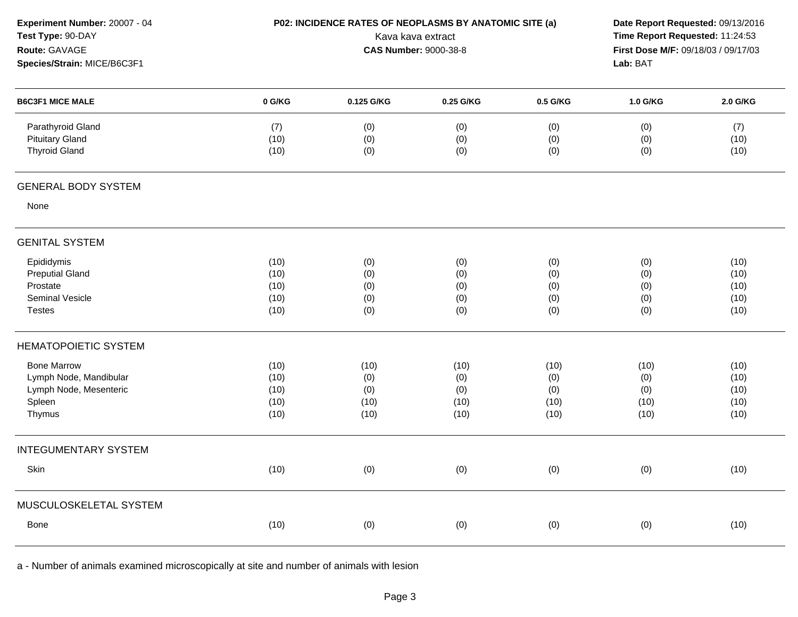| Experiment Number: 20007 - 04<br>Test Type: 90-DAY<br>Route: GAVAGE<br>Species/Strain: MICE/B6C3F1 | P02: INCIDENCE RATES OF NEOPLASMS BY ANATOMIC SITE (a)<br>Kava kava extract<br><b>CAS Number: 9000-38-8</b> |                                    |                                    |                                    | Date Report Requested: 09/13/2016<br>Time Report Requested: 11:24:53<br>First Dose M/F: 09/18/03 / 09/17/03<br>Lab: BAT |                                      |
|----------------------------------------------------------------------------------------------------|-------------------------------------------------------------------------------------------------------------|------------------------------------|------------------------------------|------------------------------------|-------------------------------------------------------------------------------------------------------------------------|--------------------------------------|
| <b>B6C3F1 MICE MALE</b>                                                                            | 0 G/KG                                                                                                      | 0.125 G/KG                         | 0.25 G/KG                          | 0.5 G/KG                           | 1.0 G/KG                                                                                                                | 2.0 G/KG                             |
| Parathyroid Gland<br><b>Pituitary Gland</b><br><b>Thyroid Gland</b>                                | (7)<br>(10)<br>(10)                                                                                         | (0)<br>(0)<br>(0)                  | (0)<br>(0)<br>(0)                  | (0)<br>(0)<br>(0)                  | (0)<br>(0)<br>(0)                                                                                                       | (7)<br>(10)<br>(10)                  |
| <b>GENERAL BODY SYSTEM</b>                                                                         |                                                                                                             |                                    |                                    |                                    |                                                                                                                         |                                      |
| None                                                                                               |                                                                                                             |                                    |                                    |                                    |                                                                                                                         |                                      |
| <b>GENITAL SYSTEM</b>                                                                              |                                                                                                             |                                    |                                    |                                    |                                                                                                                         |                                      |
| Epididymis<br><b>Preputial Gland</b><br>Prostate<br>Seminal Vesicle<br><b>Testes</b>               | (10)<br>(10)<br>(10)<br>(10)<br>(10)                                                                        | (0)<br>(0)<br>(0)<br>(0)<br>(0)    | (0)<br>(0)<br>(0)<br>(0)<br>(0)    | (0)<br>(0)<br>(0)<br>(0)<br>(0)    | (0)<br>(0)<br>(0)<br>(0)<br>(0)                                                                                         | (10)<br>(10)<br>(10)<br>(10)<br>(10) |
| <b>HEMATOPOIETIC SYSTEM</b>                                                                        |                                                                                                             |                                    |                                    |                                    |                                                                                                                         |                                      |
| <b>Bone Marrow</b><br>Lymph Node, Mandibular<br>Lymph Node, Mesenteric<br>Spleen<br>Thymus         | (10)<br>(10)<br>(10)<br>(10)<br>(10)                                                                        | (10)<br>(0)<br>(0)<br>(10)<br>(10) | (10)<br>(0)<br>(0)<br>(10)<br>(10) | (10)<br>(0)<br>(0)<br>(10)<br>(10) | (10)<br>(0)<br>(0)<br>(10)<br>(10)                                                                                      | (10)<br>(10)<br>(10)<br>(10)<br>(10) |
| <b>INTEGUMENTARY SYSTEM</b>                                                                        |                                                                                                             |                                    |                                    |                                    |                                                                                                                         |                                      |
| Skin                                                                                               | (10)                                                                                                        | (0)                                | (0)                                | (0)                                | (0)                                                                                                                     | (10)                                 |
| MUSCULOSKELETAL SYSTEM                                                                             |                                                                                                             |                                    |                                    |                                    |                                                                                                                         |                                      |
| Bone                                                                                               | (10)                                                                                                        | (0)                                | (0)                                | (0)                                | (0)                                                                                                                     | (10)                                 |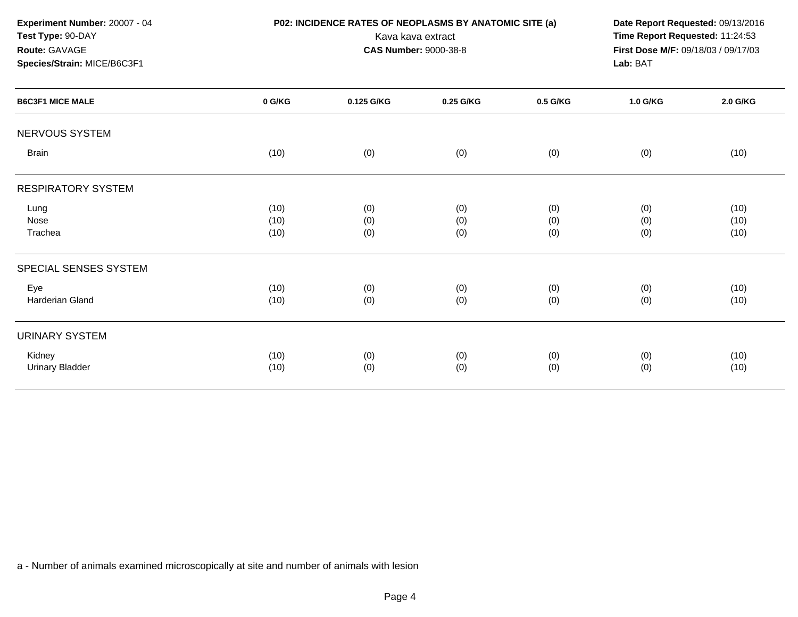| Experiment Number: 20007 - 04<br>Test Type: 90-DAY<br>Route: GAVAGE<br>Species/Strain: MICE/B6C3F1 |        | P02: INCIDENCE RATES OF NEOPLASMS BY ANATOMIC SITE (a)<br>Date Report Requested: 09/13/2016<br>Time Report Requested: 11:24:53<br>Kava kava extract<br>First Dose M/F: 09/18/03 / 09/17/03<br><b>CAS Number: 9000-38-8</b><br>Lab: BAT |           |          |          |          |
|----------------------------------------------------------------------------------------------------|--------|----------------------------------------------------------------------------------------------------------------------------------------------------------------------------------------------------------------------------------------|-----------|----------|----------|----------|
|                                                                                                    |        |                                                                                                                                                                                                                                        |           |          |          |          |
| <b>B6C3F1 MICE MALE</b>                                                                            | 0 G/KG | 0.125 G/KG                                                                                                                                                                                                                             | 0.25 G/KG | 0.5 G/KG | 1.0 G/KG | 2.0 G/KG |
| <b>NERVOUS SYSTEM</b>                                                                              |        |                                                                                                                                                                                                                                        |           |          |          |          |
| <b>Brain</b>                                                                                       | (10)   | (0)                                                                                                                                                                                                                                    | (0)       | (0)      | (0)      | (10)     |
| <b>RESPIRATORY SYSTEM</b>                                                                          |        |                                                                                                                                                                                                                                        |           |          |          |          |
| Lung                                                                                               | (10)   | (0)                                                                                                                                                                                                                                    | (0)       | (0)      | (0)      | (10)     |
| Nose                                                                                               | (10)   | (0)                                                                                                                                                                                                                                    | (0)       | (0)      | (0)      | (10)     |
| Trachea                                                                                            | (10)   | (0)                                                                                                                                                                                                                                    | (0)       | (0)      | (0)      | (10)     |
| SPECIAL SENSES SYSTEM                                                                              |        |                                                                                                                                                                                                                                        |           |          |          |          |
| Eye                                                                                                | (10)   | (0)                                                                                                                                                                                                                                    | (0)       | (0)      | (0)      | (10)     |
| Harderian Gland                                                                                    | (10)   | (0)                                                                                                                                                                                                                                    | (0)       | (0)      | (0)      | (10)     |
| <b>URINARY SYSTEM</b>                                                                              |        |                                                                                                                                                                                                                                        |           |          |          |          |
| Kidney                                                                                             | (10)   | (0)                                                                                                                                                                                                                                    | (0)       | (0)      | (0)      | (10)     |
| <b>Urinary Bladder</b>                                                                             | (10)   | (0)                                                                                                                                                                                                                                    | (0)       | (0)      | (0)      | (10)     |
|                                                                                                    |        |                                                                                                                                                                                                                                        |           |          |          |          |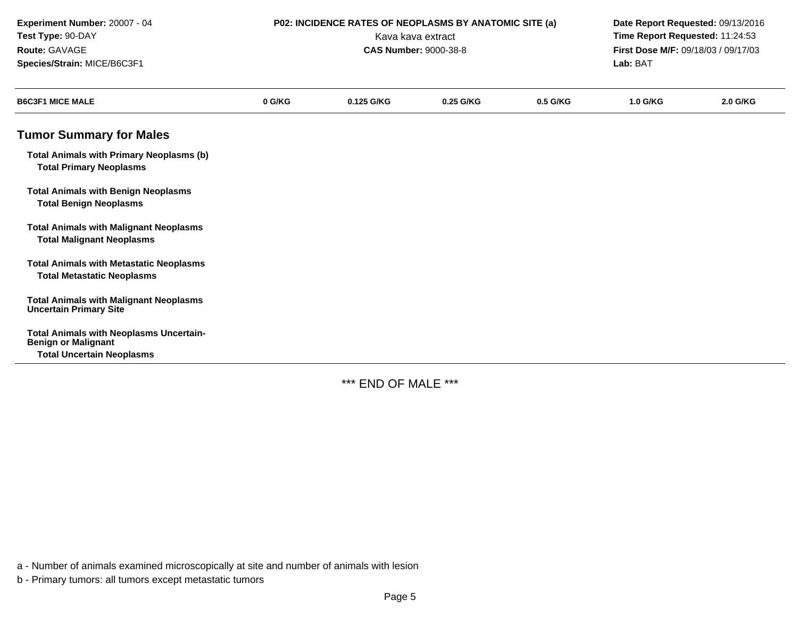| Experiment Number: 20007 - 04<br>Test Type: 90-DAY<br>Route: GAVAGE<br>Species/Strain: MICE/B6C3F1               | P02: INCIDENCE RATES OF NEOPLASMS BY ANATOMIC SITE (a)<br>Kava kava extract<br><b>CAS Number: 9000-38-8</b> |            |           |          |          | Date Report Requested: 09/13/2016<br>Time Report Requested: 11:24:53<br>First Dose M/F: 09/18/03 / 09/17/03<br>Lab: BAT |  |
|------------------------------------------------------------------------------------------------------------------|-------------------------------------------------------------------------------------------------------------|------------|-----------|----------|----------|-------------------------------------------------------------------------------------------------------------------------|--|
| <b>B6C3F1 MICE MALE</b>                                                                                          | 0 G/KG                                                                                                      | 0.125 G/KG | 0.25 G/KG | 0.5 G/KG | 1.0 G/KG | 2.0 G/KG                                                                                                                |  |
| <b>Tumor Summary for Males</b>                                                                                   |                                                                                                             |            |           |          |          |                                                                                                                         |  |
| <b>Total Animals with Primary Neoplasms (b)</b><br><b>Total Primary Neoplasms</b>                                |                                                                                                             |            |           |          |          |                                                                                                                         |  |
| <b>Total Animals with Benign Neoplasms</b><br><b>Total Benign Neoplasms</b>                                      |                                                                                                             |            |           |          |          |                                                                                                                         |  |
| <b>Total Animals with Malignant Neoplasms</b><br><b>Total Malignant Neoplasms</b>                                |                                                                                                             |            |           |          |          |                                                                                                                         |  |
| <b>Total Animals with Metastatic Neoplasms</b><br><b>Total Metastatic Neoplasms</b>                              |                                                                                                             |            |           |          |          |                                                                                                                         |  |
| <b>Total Animals with Malignant Neoplasms</b><br><b>Uncertain Primary Site</b>                                   |                                                                                                             |            |           |          |          |                                                                                                                         |  |
| <b>Total Animals with Neoplasms Uncertain-</b><br><b>Benign or Malignant</b><br><b>Total Uncertain Neoplasms</b> |                                                                                                             |            |           |          |          |                                                                                                                         |  |

\*\*\* END OF MALE \*\*\*

a - Number of animals examined microscopically at site and number of animals with lesion

b - Primary tumors: all tumors except metastatic tumors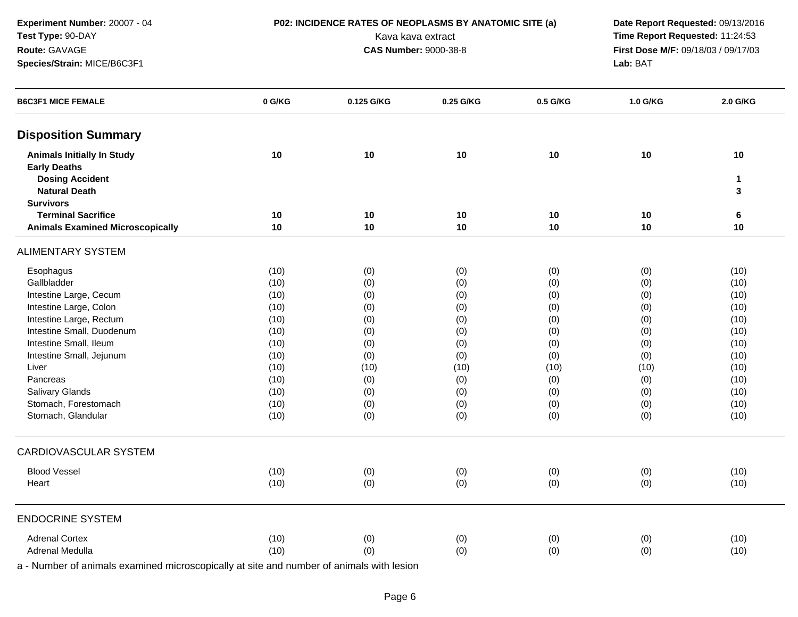**Experiment Number:** 20007 - 04**Test Type:** 90-DAY**Route:** GAVAGE**Species/Strain:** MICE/B6C3F1

**P02: INCIDENCE RATES OF NEOPLASMS BY ANATOMIC SITE (a)** Date Report Requested: 09/13/2016<br>Kava kava extract **Time Report Requested:** 11:24:53 Kava kava extract **Time Report Requested:** 11:24:53<br>**CAS Number:** 9000-38-8 **Time Report Requested:** 11:24:53 **First Dose M/F:** 09/18/03 / 09/17/03<br>Lab: BAT **Lab:** BAT

| <b>B6C3F1 MICE FEMALE</b>                                | 0 G/KG | 0.125 G/KG | 0.25 G/KG | 0.5 G/KG | 1.0 G/KG | 2.0 G/KG |
|----------------------------------------------------------|--------|------------|-----------|----------|----------|----------|
| <b>Disposition Summary</b>                               |        |            |           |          |          |          |
| <b>Animals Initially In Study</b><br><b>Early Deaths</b> | 10     | 10         | 10        | 10       | 10       | 10       |
| <b>Dosing Accident</b>                                   |        |            |           |          |          | 1        |
| <b>Natural Death</b>                                     |        |            |           |          |          | 3        |
| <b>Survivors</b>                                         |        |            |           |          |          |          |
| <b>Terminal Sacrifice</b>                                | 10     | 10         | 10        | 10       | 10       | 6        |
| <b>Animals Examined Microscopically</b>                  | 10     | 10         | 10        | 10       | 10       | 10       |
| <b>ALIMENTARY SYSTEM</b>                                 |        |            |           |          |          |          |
| Esophagus                                                | (10)   | (0)        | (0)       | (0)      | (0)      | (10)     |
| Gallbladder                                              | (10)   | (0)        | (0)       | (0)      | (0)      | (10)     |
| Intestine Large, Cecum                                   | (10)   | (0)        | (0)       | (0)      | (0)      | (10)     |
| Intestine Large, Colon                                   | (10)   | (0)        | (0)       | (0)      | (0)      | (10)     |
| Intestine Large, Rectum                                  | (10)   | (0)        | (0)       | (0)      | (0)      | (10)     |
| Intestine Small, Duodenum                                | (10)   | (0)        | (0)       | (0)      | (0)      | (10)     |
| Intestine Small, Ileum                                   | (10)   | (0)        | (0)       | (0)      | (0)      | (10)     |
| Intestine Small, Jejunum                                 | (10)   | (0)        | (0)       | (0)      | (0)      | (10)     |
| Liver                                                    | (10)   | (10)       | (10)      | (10)     | (10)     | (10)     |
| Pancreas                                                 | (10)   | (0)        | (0)       | (0)      | (0)      | (10)     |
| Salivary Glands                                          | (10)   | (0)        | (0)       | (0)      | (0)      | (10)     |
| Stomach, Forestomach                                     | (10)   | (0)        | (0)       | (0)      | (0)      | (10)     |
| Stomach, Glandular                                       | (10)   | (0)        | (0)       | (0)      | (0)      | (10)     |
| <b>CARDIOVASCULAR SYSTEM</b>                             |        |            |           |          |          |          |
| <b>Blood Vessel</b>                                      | (10)   | (0)        | (0)       | (0)      | (0)      | (10)     |
| Heart                                                    | (10)   | (0)        | (0)       | (0)      | (0)      | (10)     |
| <b>ENDOCRINE SYSTEM</b>                                  |        |            |           |          |          |          |
| <b>Adrenal Cortex</b>                                    | (10)   | (0)        | (0)       | (0)      | (0)      | (10)     |
| Adrenal Medulla                                          | (10)   | (0)        | (0)       | (0)      | (0)      | (10)     |
|                                                          |        |            |           |          |          |          |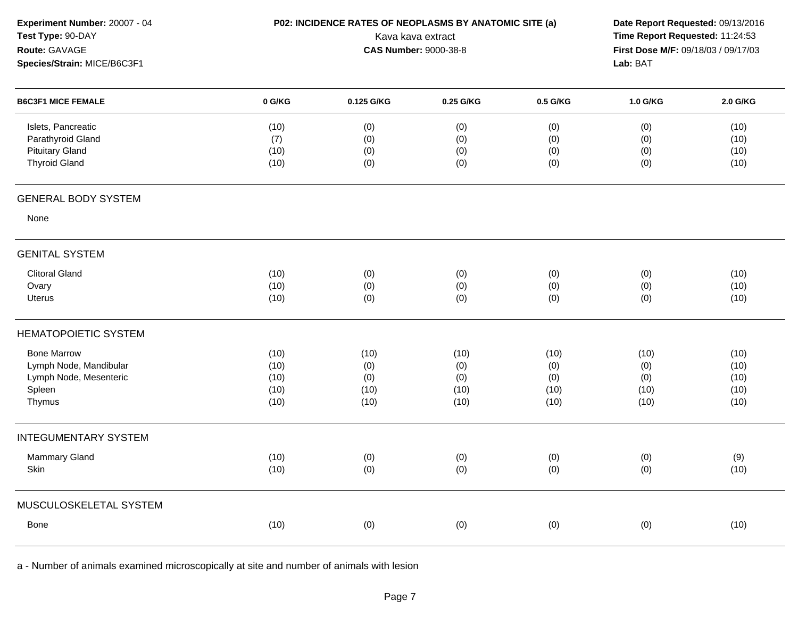| Experiment Number: 20007 - 04<br>Test Type: 90-DAY<br>Route: GAVAGE<br>Species/Strain: MICE/B6C3F1 |                                      | P02: INCIDENCE RATES OF NEOPLASMS BY ANATOMIC SITE (a)<br>Kava kava extract<br><b>CAS Number: 9000-38-8</b> | Lab: BAT                           | Date Report Requested: 09/13/2016<br>Time Report Requested: 11:24:53<br>First Dose M/F: 09/18/03 / 09/17/03 |                                    |                                      |
|----------------------------------------------------------------------------------------------------|--------------------------------------|-------------------------------------------------------------------------------------------------------------|------------------------------------|-------------------------------------------------------------------------------------------------------------|------------------------------------|--------------------------------------|
| <b>B6C3F1 MICE FEMALE</b>                                                                          | 0 G/KG                               | 0.125 G/KG                                                                                                  | 0.25 G/KG                          | 0.5 G/KG                                                                                                    | 1.0 G/KG                           | 2.0 G/KG                             |
| Islets, Pancreatic<br>Parathyroid Gland<br><b>Pituitary Gland</b><br><b>Thyroid Gland</b>          | (10)<br>(7)<br>(10)<br>(10)          | (0)<br>(0)<br>(0)<br>(0)                                                                                    | (0)<br>(0)<br>(0)<br>(0)           | (0)<br>(0)<br>(0)<br>(0)                                                                                    | (0)<br>(0)<br>(0)<br>(0)           | (10)<br>(10)<br>(10)<br>(10)         |
| <b>GENERAL BODY SYSTEM</b>                                                                         |                                      |                                                                                                             |                                    |                                                                                                             |                                    |                                      |
| None                                                                                               |                                      |                                                                                                             |                                    |                                                                                                             |                                    |                                      |
| <b>GENITAL SYSTEM</b>                                                                              |                                      |                                                                                                             |                                    |                                                                                                             |                                    |                                      |
| <b>Clitoral Gland</b><br>Ovary<br><b>Uterus</b>                                                    | (10)<br>(10)<br>(10)                 | (0)<br>(0)<br>(0)                                                                                           | (0)<br>(0)<br>(0)                  | (0)<br>(0)<br>(0)                                                                                           | (0)<br>(0)<br>(0)                  | (10)<br>(10)<br>(10)                 |
| <b>HEMATOPOIETIC SYSTEM</b>                                                                        |                                      |                                                                                                             |                                    |                                                                                                             |                                    |                                      |
| <b>Bone Marrow</b><br>Lymph Node, Mandibular<br>Lymph Node, Mesenteric<br>Spleen<br>Thymus         | (10)<br>(10)<br>(10)<br>(10)<br>(10) | (10)<br>(0)<br>(0)<br>(10)<br>(10)                                                                          | (10)<br>(0)<br>(0)<br>(10)<br>(10) | (10)<br>(0)<br>(0)<br>(10)<br>(10)                                                                          | (10)<br>(0)<br>(0)<br>(10)<br>(10) | (10)<br>(10)<br>(10)<br>(10)<br>(10) |
| <b>INTEGUMENTARY SYSTEM</b>                                                                        |                                      |                                                                                                             |                                    |                                                                                                             |                                    |                                      |
| Mammary Gland<br>Skin                                                                              | (10)<br>(10)                         | (0)<br>(0)                                                                                                  | (0)<br>(0)                         | (0)<br>(0)                                                                                                  | (0)<br>(0)                         | (9)<br>(10)                          |
| MUSCULOSKELETAL SYSTEM                                                                             |                                      |                                                                                                             |                                    |                                                                                                             |                                    |                                      |
| Bone                                                                                               | (10)                                 | (0)                                                                                                         | (0)                                | (0)                                                                                                         | (0)                                | (10)                                 |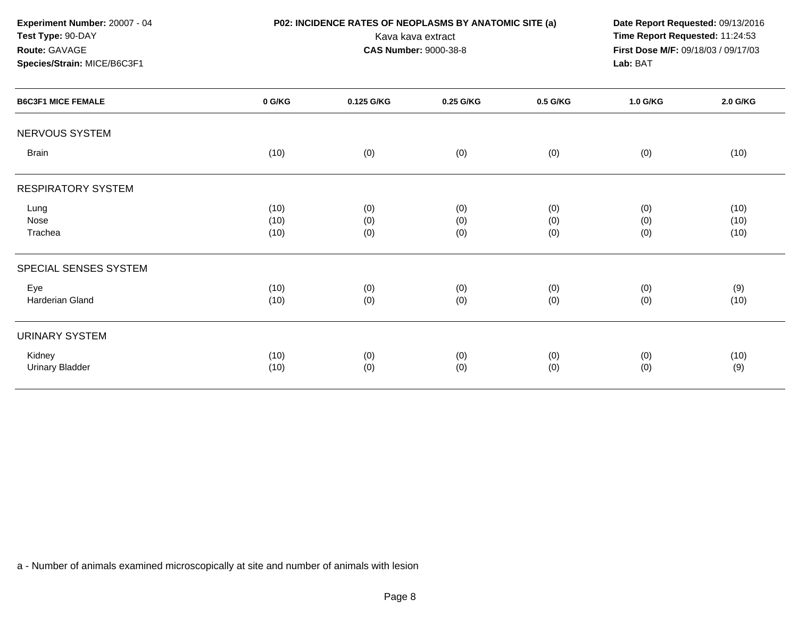| Experiment Number: 20007 - 04<br>Test Type: 90-DAY                        |        | P02: INCIDENCE RATES OF NEOPLASMS BY ANATOMIC SITE (a) | Kava kava extract                               |          |          | Date Report Requested: 09/13/2016<br>Time Report Requested: 11:24:53 |  |
|---------------------------------------------------------------------------|--------|--------------------------------------------------------|-------------------------------------------------|----------|----------|----------------------------------------------------------------------|--|
| Route: GAVAGE<br>Species/Strain: MICE/B6C3F1<br><b>B6C3F1 MICE FEMALE</b> |        | <b>CAS Number: 9000-38-8</b>                           | First Dose M/F: 09/18/03 / 09/17/03<br>Lab: BAT |          |          |                                                                      |  |
|                                                                           | 0 G/KG | 0.125 G/KG                                             | 0.25 G/KG                                       | 0.5 G/KG | 1.0 G/KG | 2.0 G/KG                                                             |  |
| NERVOUS SYSTEM                                                            |        |                                                        |                                                 |          |          |                                                                      |  |
| <b>Brain</b>                                                              | (10)   | (0)                                                    | (0)                                             | (0)      | (0)      | (10)                                                                 |  |
| <b>RESPIRATORY SYSTEM</b>                                                 |        |                                                        |                                                 |          |          |                                                                      |  |
| Lung                                                                      | (10)   | (0)                                                    | (0)                                             | (0)      | (0)      | (10)                                                                 |  |
| Nose                                                                      | (10)   | (0)                                                    | (0)                                             | (0)      | (0)      | (10)                                                                 |  |
| Trachea                                                                   | (10)   | (0)                                                    | (0)                                             | (0)      | (0)      | (10)                                                                 |  |
| SPECIAL SENSES SYSTEM                                                     |        |                                                        |                                                 |          |          |                                                                      |  |
| Eye                                                                       | (10)   | (0)                                                    | (0)                                             | (0)      | (0)      | (9)                                                                  |  |
| <b>Harderian Gland</b>                                                    | (10)   | (0)                                                    | (0)                                             | (0)      | (0)      | (10)                                                                 |  |
| <b>URINARY SYSTEM</b>                                                     |        |                                                        |                                                 |          |          |                                                                      |  |
| Kidney                                                                    | (10)   | (0)                                                    | (0)                                             | (0)      | (0)      | (10)                                                                 |  |
| <b>Urinary Bladder</b>                                                    | (10)   | (0)                                                    | (0)                                             | (0)      | (0)      | (9)                                                                  |  |